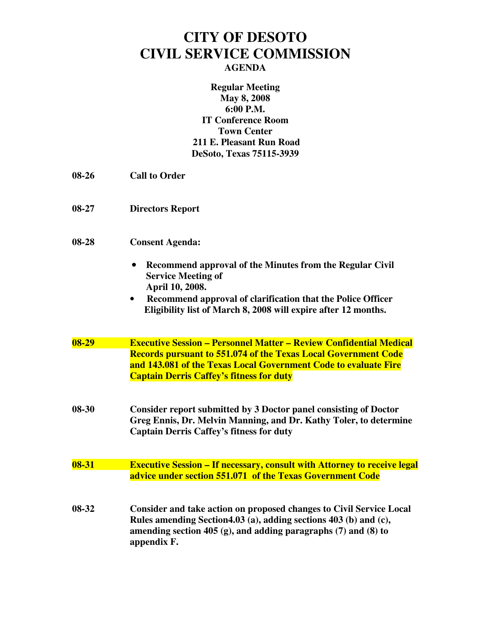## **CITY OF DESOTO CIVIL SERVICE COMMISSION AGENDA**

**Regular Meeting May 8, 2008 6:00 P.M. IT Conference Room Town Center 211 E. Pleasant Run Road DeSoto, Texas 75115-3939** 

- **08-26 Call to Order**
- **08-27 Directors Report**
- **08-28 Consent Agenda:** 
	- **Recommend approval of the Minutes from the Regular Civil Service Meeting of April 10, 2008.**
	- • **Recommend approval of clarification that the Police Officer Eligibility list of March 8, 2008 will expire after 12 months.**
- **08-29 Executive Session Personnel Matter Review Confidential Medical Records pursuant to 551.074 of the Texas Local Government Code and 143.081 of the Texas Local Government Code to evaluate Fire Captain Derris Caffey's fitness for duty**
- **08-30 Consider report submitted by 3 Doctor panel consisting of Doctor Greg Ennis, Dr. Melvin Manning, and Dr. Kathy Toler, to determine Captain Derris Caffey's fitness for duty**
- **08-31 Executive Session If necessary, consult with Attorney to receive legal advice under section 551.071 of the Texas Government Code**
- **08-32 Consider and take action on proposed changes to Civil Service Local Rules amending Section4.03 (a), adding sections 403 (b) and (c), amending section 405 (g), and adding paragraphs (7) and (8) to appendix F.**